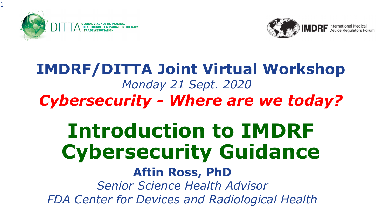

1



#### **IMDRF/DITTA Joint Virtual Workshop** *Monday 21 Sept. 2020 Cybersecurity - Where are we today?*

# **Introduction to IMDRF Cybersecurity Guidance**

#### **Aftin Ross, PhD**

*Senior Science Health Advisor FDA Center for Devices and Radiological Health*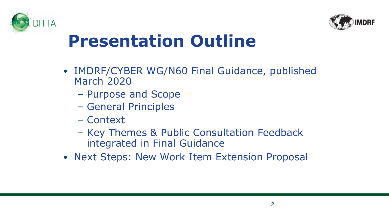



### **Presentation Outline**

- IMDRF/CYBER WG/N60 Final Guidance, published March 2020
	- Purpose and Scope
	- General Principles
	- Context
	- Key Themes & Public Consultation Feedback integrated in Final Guidance
- Next Steps: New Work Item Extension Proposal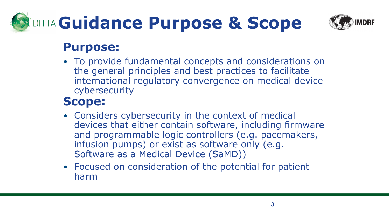# **DITTA Guidance Purpose & Scope**



#### **Purpose:**

• To provide fundamental concepts and considerations on the general principles and best practices to facilitate international regulatory convergence on medical device cybersecurity

#### **Scope:**

- Considers cybersecurity in the context of medical devices that either contain software, including firmware and programmable logic controllers (e.g. pacemakers, infusion pumps) or exist as software only (e.g. Software as a Medical Device (SaMD))
- Focused on consideration of the potential for patient harm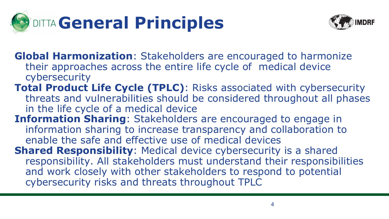



- **Global Harmonization**: Stakeholders are encouraged to harmonize their approaches across the entire life cycle of medical device cybersecurity
- **Total Product Life Cycle (TPLC)**: Risks associated with cybersecurity threats and vulnerabilities should be considered throughout all phases in the life cycle of a medical device
- **Information Sharing**: Stakeholders are encouraged to engage in information sharing to increase transparency and collaboration to enable the safe and effective use of medical devices
- **Shared Responsibility**: Medical device cybersecurity is a shared responsibility. All stakeholders must understand their responsibilities and work closely with other stakeholders to respond to potential cybersecurity risks and threats throughout TPLC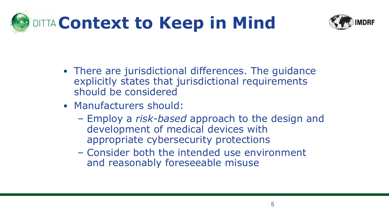



- There are jurisdictional differences. The guidance explicitly states that jurisdictional requirements should be considered
- Manufacturers should:
	- Employ a *risk-based* approach to the design and development of medical devices with appropriate cybersecurity protections
	- Consider both the intended use environment and reasonably foreseeable misuse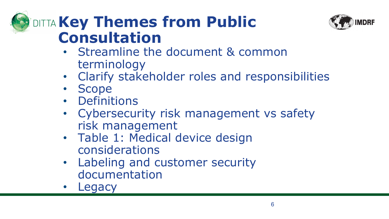#### *Key Themes from Public* **Consultation**



- Streamline the document & common terminology
- Clarify stakeholder roles and responsibilities
- Scope
- Definitions
- Cybersecurity risk management vs safety risk management
- Table 1: Medical device design considerations
- Labeling and customer security documentation
- Legacy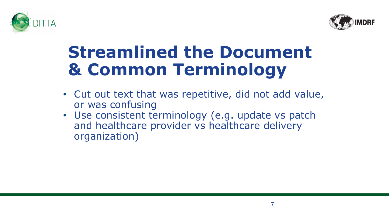



### **Streamlined the Document & Common Terminology**

- Cut out text that was repetitive, did not add value, or was confusing
- Use consistent terminology (e.g. update vs patch and healthcare provider vs healthcare delivery organization)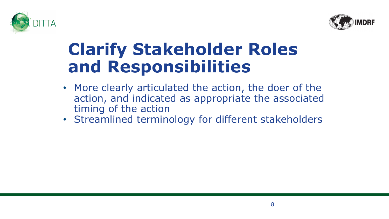



### **Clarify Stakeholder Roles and Responsibilities**

- More clearly articulated the action, the doer of the action, and indicated as appropriate the associated timing of the action
- Streamlined terminology for different stakeholders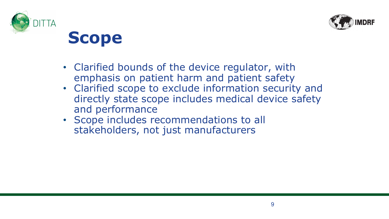



**Scope**

- Clarified bounds of the device regulator, with emphasis on patient harm and patient safety
- Clarified scope to exclude information security and directly state scope includes medical device safety and performance
- Scope includes recommendations to all stakeholders, not just manufacturers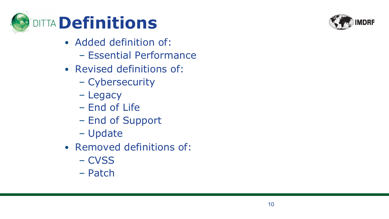

- Added definition of:
	- Essential Performance
- Revised definitions of:
	- Cybersecurity
	- Legacy
	- End of Life
	- End of Support
	- Update
- Removed definitions of:
	- CVSS
	- Patch

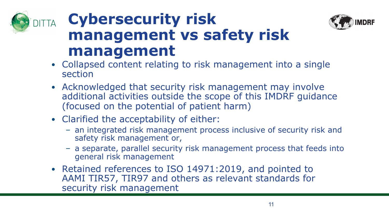





- Collapsed content relating to risk management into a single section
- Acknowledged that security risk management may involve additional activities outside the scope of this IMDRF guidance (focused on the potential of patient harm)
- Clarified the acceptability of either:
	- an integrated risk management process inclusive of security risk and safety risk management or,
	- a separate, parallel security risk management process that feeds into general risk management
- Retained references to ISO 14971:2019, and pointed to AAMI TIR57, TIR97 and others as relevant standards for security risk management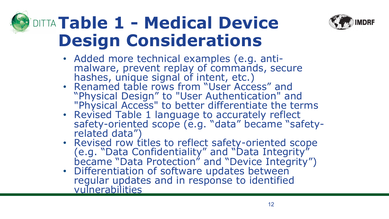

# **Table 1 - Medical Device Design Considerations**

- Added more technical examples (e.g. anti- malware, prevent replay of commands, secure hashes, unique signal of intent, etc.)
- Renamed table rows from "User Access" and "Physical Design" to "User Authentication" and "Physical Access" to better differentiate the terms
- Revised Table 1 language to accurately reflect safety-oriented scope (e.g. "data" became "safety-<br>related data")
- Revised row titles to reflect safety-oriented scope (e.g. "Data Confidentiality" and "Data Integrity" became "Data Protection" and "Device Integrity")
- Differentiation of software updates between regular updates and in response to identified vulnerabilities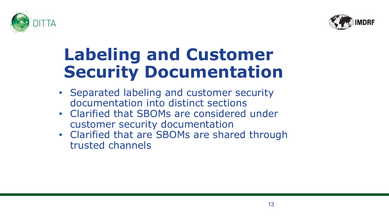



## **Labeling and Customer Security Documentation**

- Separated labeling and customer security documentation into distinct sections
- Clarified that SBOMs are considered under customer security documentation
- Clarified that are SBOMs are shared through trusted channels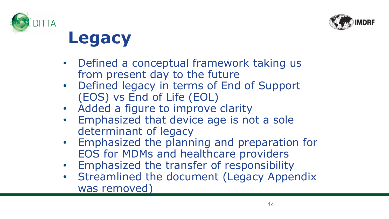



**Legacy**

- Defined a conceptual framework taking us from present day to the future
- Defined legacy in terms of End of Support (EOS) vs End of Life (EOL)
- Added a figure to improve clarity
- Emphasized that device age is not a sole determinant of legacy
- Emphasized the planning and preparation for EOS for MDMs and healthcare providers
- Emphasized the transfer of responsibility
- Streamlined the document (Legacy Appendix was removed)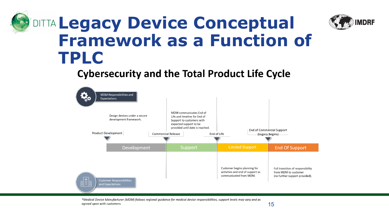## **PIDITTA Legacy Device Conceptual Framework as a Function of TPLC**

#### **Cybersecurity and the Total Product Life Cycle**



\*Medical Device Manufacturer (MDM) follows regional guidance for medical device responsibilities, support levels may vary and as agreed upon with customers.

**MDRF**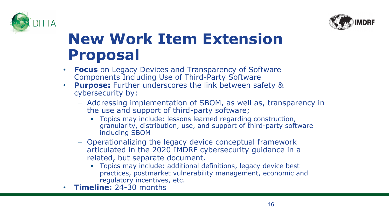



#### **New Work Item Extension Proposal**

- **Focus** on Legacy Devices and Transparency of Software Components Including Use of Third-Party Software
- **Purpose:** Further underscores the link between safety & cybersecurity by:
	- Addressing implementation of SBOM, as well as, transparency in the use and support of third-party software;
		- Topics may include: lessons learned regarding construction, granularity, distribution, use, and support of third-party software including SBOM
	- Operationalizing the legacy device conceptual framework articulated in the 2020 IMDRF cybersecurity guidance in a related, but separate document.
		- § Topics may include: additional definitions, legacy device best practices, postmarket vulnerability management, economic and regulatory incentives, etc.
- **Timeline:** 24-30 months